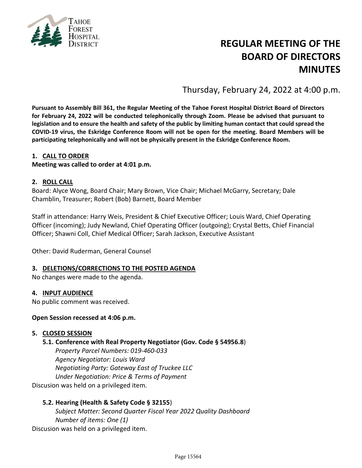

# **REGULAR MEETING OF THE BOARD OF DIRECTORS MINUTES**

Thursday, February 24, 2022 at 4:00 p.m.

**Pursuant to Assembly Bill 361, the Regular Meeting of the Tahoe Forest Hospital District Board of Directors for February 24, 2022 will be conducted telephonically through Zoom. Please be advised that pursuant to legislation and to ensure the health and safety of the public by limiting human contact that could spread the COVID-19 virus, the Eskridge Conference Room will not be open for the meeting. Board Members will be participating telephonically and will not be physically present in the Eskridge Conference Room.**

## **1. CALL TO ORDER**

**Meeting was called to order at 4:01 p.m.**

#### **2. ROLL CALL**

Board: Alyce Wong, Board Chair; Mary Brown, Vice Chair; Michael McGarry, Secretary; Dale Chamblin, Treasurer; Robert (Bob) Barnett, Board Member

Staff in attendance: Harry Weis, President & Chief Executive Officer; Louis Ward, Chief Operating Officer (incoming); Judy Newland, Chief Operating Officer (outgoing); Crystal Betts, Chief Financial Officer; Shawni Coll, Chief Medical Officer; Sarah Jackson, Executive Assistant

Other: David Ruderman, General Counsel

#### **3. DELETIONS/CORRECTIONS TO THE POSTED AGENDA**

No changes were made to the agenda.

#### **4. INPUT AUDIENCE**

No public comment was received.

#### **Open Session recessed at 4:06 p.m.**

#### **5. CLOSED SESSION**

#### **5.1. Conference with Real Property Negotiator (Gov. Code § 54956.8**)

*Property Parcel Numbers: 019-460-033 Agency Negotiator: Louis Ward Negotiating Party: Gateway East of Truckee LLC Under Negotiation: Price & Terms of Payment* Discusion was held on a privileged item.

#### **5.2. Hearing (Health & Safety Code § 32155**)

*Subject Matter: Second Quarter Fiscal Year 2022 Quality Dashboard Number of items: One (1)* Discusion was held on a privileged item.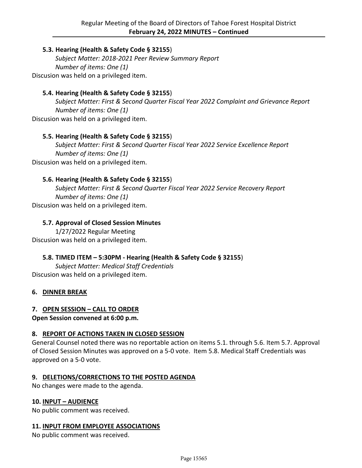## **5.3. Hearing (Health & Safety Code § 32155**)

*Subject Matter: 2018-2021 Peer Review Summary Report Number of items: One (1)* Discusion was held on a privileged item.

## **5.4. Hearing (Health & Safety Code § 32155**)

*Subject Matter: First & Second Quarter Fiscal Year 2022 Complaint and Grievance Report Number of items: One (1)* Discusion was held on a privileged item.

## **5.5. Hearing (Health & Safety Code § 32155**)

*Subject Matter: First & Second Quarter Fiscal Year 2022 Service Excellence Report Number of items: One (1)* Discusion was held on a privileged item.

## **5.6. Hearing (Health & Safety Code § 32155**)

*Subject Matter: First & Second Quarter Fiscal Year 2022 Service Recovery Report Number of items: One (1)* Discusion was held on a privileged item.

## **5.7. Approval of Closed Session Minutes**

1/27/2022 Regular Meeting Discusion was held on a privileged item.

## **5.8. TIMED ITEM – 5:30PM - Hearing (Health & Safety Code § 32155**)

*Subject Matter: Medical Staff Credentials* Discusion was held on a privileged item.

#### **6. DINNER BREAK**

#### **7. OPEN SESSION – CALL TO ORDER**

**Open Session convened at 6:00 p.m.**

#### **8. REPORT OF ACTIONS TAKEN IN CLOSED SESSION**

General Counsel noted there was no reportable action on items 5.1. through 5.6. Item 5.7. Approval of Closed Session Minutes was approved on a 5-0 vote. Item 5.8. Medical Staff Credentials was approved on a 5-0 vote.

#### **9. DELETIONS/CORRECTIONS TO THE POSTED AGENDA**

No changes were made to the agenda.

#### **10. INPUT – AUDIENCE**

No public comment was received.

#### **11. INPUT FROM EMPLOYEE ASSOCIATIONS**

No public comment was received.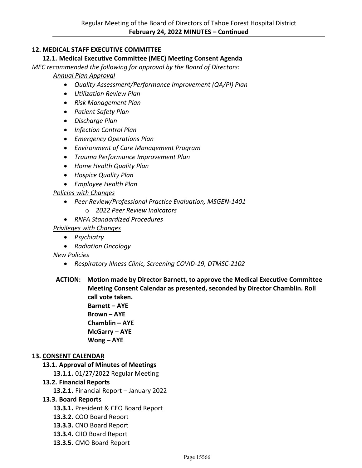# **12. MEDICAL STAFF EXECUTIVE COMMITTEE**

## **12.1. Medical Executive Committee (MEC) Meeting Consent Agenda**

*MEC recommended the following for approval by the Board of Directors:* 

*Annual Plan Approval*

- *Quality Assessment/Performance Improvement (QA/PI) Plan*
- *Utilization Review Plan*
- *Risk Management Plan*
- *Patient Safety Plan*
- *Discharge Plan*
- *Infection Control Plan*
- *Emergency Operations Plan*
- *Environment of Care Management Program*
- *Trauma Performance Improvement Plan*
- *Home Health Quality Plan*
- *Hospice Quality Plan*
- *Employee Health Plan*

# *Policies with Changes*

- *Peer Review/Professional Practice Evaluation, MSGEN-1401*
	- o *2022 Peer Review Indicators*
- *RNFA Standardized Procedures*

# *Privileges with Changes*

- *Psychiatry*
- *Radiation Oncology*

## *New Policies*

- *Respiratory Illness Clinic, Screening COVID-19, DTMSC-2102*
- **ACTION: Motion made by Director Barnett, to approve the Medical Executive Committee Meeting Consent Calendar as presented, seconded by Director Chamblin. Roll call vote taken.**
	- **Barnett AYE Brown – AYE Chamblin – AYE McGarry – AYE Wong – AYE**

## **13. CONSENT CALENDAR**

## **13.1. Approval of Minutes of Meetings**

**13.1.1.** 01/27/2022 Regular Meeting

## **13.2. Financial Reports**

**13.2.1.** Financial Report – January 2022

## **13.3. Board Reports**

- **13.3.1.** President & CEO Board Report
- **13.3.2.** COO Board Report
- **13.3.3.** CNO Board Report
- **13.3.4.** CIIO Board Report
- **13.3.5.** CMO Board Report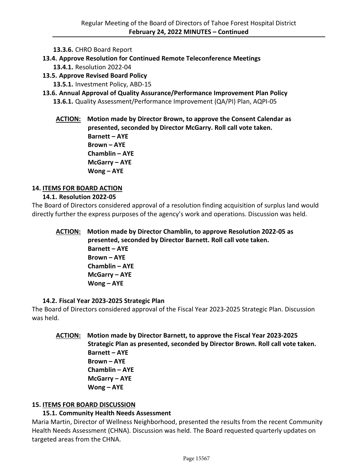**13.3.6.** CHRO Board Report

**13.4. Approve Resolution for Continued Remote Teleconference Meetings**

- **13.4.1.** Resolution 2022-04
- **13.5. Approve Revised Board Policy**

**13.5.1.** Investment Policy, ABD-15

**13.6. Annual Approval of Quality Assurance/Performance Improvement Plan Policy 13.6.1.** Quality Assessment/Performance Improvement (QA/PI) Plan, AQPI-05

**ACTION: Motion made by Director Brown, to approve the Consent Calendar as presented, seconded by Director McGarry. Roll call vote taken. Barnett – AYE Brown – AYE Chamblin – AYE McGarry – AYE Wong – AYE**

# **14. ITEMS FOR BOARD ACTION**

# **14.1. Resolution 2022-05**

The Board of Directors considered approval of a resolution finding acquisition of surplus land would directly further the express purposes of the agency's work and operations. Discussion was held.

**ACTION: Motion made by Director Chamblin, to approve Resolution 2022-05 as presented, seconded by Director Barnett. Roll call vote taken. Barnett – AYE Brown – AYE Chamblin – AYE McGarry – AYE Wong – AYE**

# **14.2. Fiscal Year 2023-2025 Strategic Plan**

The Board of Directors considered approval of the Fiscal Year 2023-2025 Strategic Plan. Discussion was held.

# **ACTION: Motion made by Director Barnett, to approve the Fiscal Year 2023-2025 Strategic Plan as presented, seconded by Director Brown. Roll call vote taken. Barnett – AYE Brown – AYE Chamblin – AYE McGarry – AYE Wong – AYE**

# **15. ITEMS FOR BOARD DISCUSSION**

# **15.1. Community Health Needs Assessment**

Maria Martin, Director of Wellness Neighborhood, presented the results from the recent Community Health Needs Assessment (CHNA). Discussion was held. The Board requested quarterly updates on targeted areas from the CHNA.